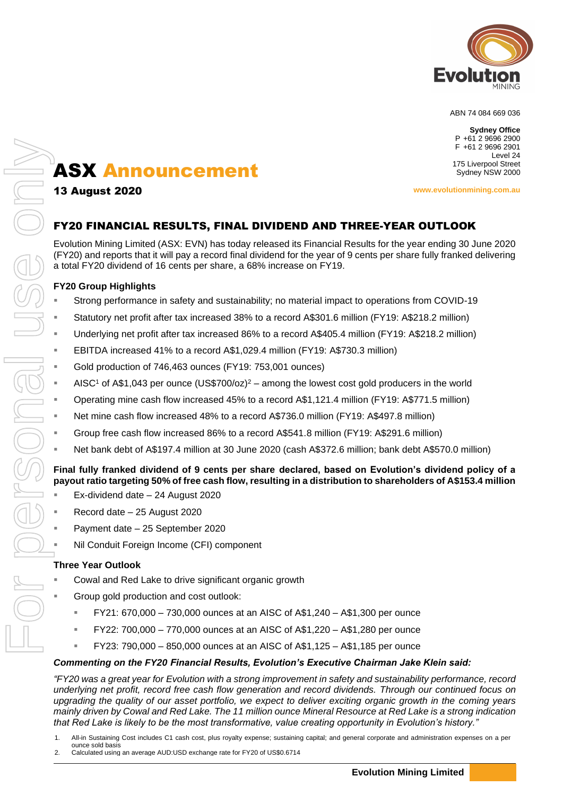

ABN 74 084 669 036

**Sydney Office** P +61 2 9696 2900 F +61 2 9696 2901 Level 24 175 Liverpool Street Sydney NSW 2000

13 August 2020

**www.evolutionmining.com.au**

# FY20 FINANCIAL RESULTS, FINAL DIVIDEND AND THREE-YEAR OUTLOOK

Evolution Mining Limited (ASX: EVN) has today released its Financial Results for the year ending 30 June 2020 (FY20) and reports that it will pay a record final dividend for the year of 9 cents per share fully franked delivering a total FY20 dividend of 16 cents per share, a 68% increase on FY19.

# **FY20 Group Highlights**

- Strong performance in safety and sustainability; no material impact to operations from COVID-19
- Statutory net profit after tax increased 38% to a record A\$301.6 million (FY19: A\$218.2 million)
- Underlying net profit after tax increased 86% to a record A\$405.4 million (FY19: A\$218.2 million)
- EBITDA increased 41% to a record A\$1,029.4 million (FY19: A\$730.3 million)
- Gold production of 746,463 ounces (FY19: 753,001 ounces)
- AISC<sup>1</sup> of A\$1,043 per ounce (US\$700/oz)<sup>2</sup> among the lowest cost gold producers in the world
- Operating mine cash flow increased 45% to a record A\$1,121.4 million (FY19: A\$771.5 million)
- Net mine cash flow increased 48% to a record A\$736.0 million (FY19: A\$497.8 million)
- Group free cash flow increased 86% to a record A\$541.8 million (FY19: A\$291.6 million)
- Net bank debt of A\$197.4 million at 30 June 2020 (cash A\$372.6 million; bank debt A\$570.0 million)

# **Final fully franked dividend of 9 cents per share declared, based on Evolution's dividend policy of a payout ratio targeting 50% of free cash flow, resulting in a distribution to shareholders of A\$153.4 million**

- Ex-dividend date 24 August 2020
- $Record date 25 August 2020$
- Payment date 25 September 2020
- Nil Conduit Foreign Income (CFI) component

#### **Three Year Outlook**

- Cowal and Red Lake to drive significant organic growth
- Group gold production and cost outlook:
	- FY21: 670,000 730,000 ounces at an AISC of A\$1,240 A\$1,300 per ounce
	- FY22: 700,000 770,000 ounces at an AISC of A\$1,220 A\$1,280 per ounce
	- FY23: 790,000 850,000 ounces at an AISC of A\$1,125 A\$1,185 per ounce

#### *Commenting on the FY20 Financial Results, Evolution's Executive Chairman Jake Klein said:*

*"FY20 was a great year for Evolution with a strong improvement in safety and sustainability performance, record underlying net profit, record free cash flow generation and record dividends. Through our continued focus on upgrading the quality of our asset portfolio, we expect to deliver exciting organic growth in the coming years mainly driven by Cowal and Red Lake. The 11 million ounce Mineral Resource at Red Lake is a strong indication that Red Lake is likely to be the most transformative, value creating opportunity in Evolution's history."*

- 1. All-in Sustaining Cost includes C1 cash cost, plus royalty expense; sustaining capital; and general corporate and administration expenses on a per ounce sold basis<br>Calculated using an average AUD:USD exchange rate for FY20 of US\$0.6714
-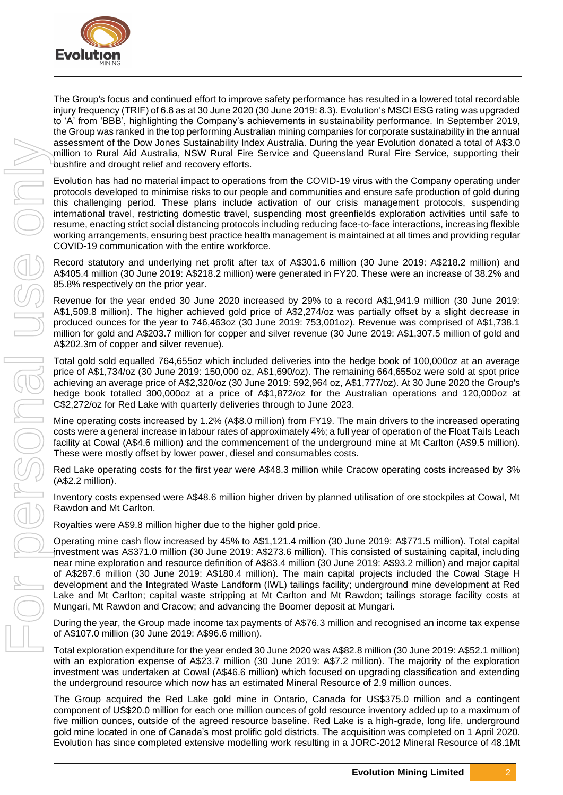

The Group's focus and continued effort to improve safety performance has resulted in a lowered total recordable injury frequency (TRIF) of 6.8 as at 30 June 2020 (30 June 2019: 8.3). Evolution's MSCI ESG rating was upgraded to 'A' from 'BBB', highlighting the Company's achievements in sustainability performance. In September 2019, the Group was ranked in the top performing Australian mining companies for corporate sustainability in the annual assessment of the Dow Jones Sustainability Index Australia. During the year Evolution donated a total of A\$3.0 million to Rural Aid Australia, NSW Rural Fire Service and Queensland Rural Fire Service, supporting their bushfire and drought relief and recovery efforts.

Evolution has had no material impact to operations from the COVID-19 virus with the Company operating under protocols developed to minimise risks to our people and communities and ensure safe production of gold during this challenging period. These plans include activation of our crisis management protocols, suspending international travel, restricting domestic travel, suspending most greenfields exploration activities until safe to resume, enacting strict social distancing protocols including reducing face-to-face interactions, increasing flexible working arrangements, ensuring best practice health management is maintained at all times and providing regular COVID-19 communication with the entire workforce.

Record statutory and underlying net profit after tax of A\$301.6 million (30 June 2019: A\$218.2 million) and A\$405.4 million (30 June 2019: A\$218.2 million) were generated in FY20. These were an increase of 38.2% and 85.8% respectively on the prior year.

Revenue for the year ended 30 June 2020 increased by 29% to a record A\$1,941.9 million (30 June 2019: A\$1,509.8 million). The higher achieved gold price of A\$2,274/oz was partially offset by a slight decrease in produced ounces for the year to 746,463oz (30 June 2019: 753,001oz). Revenue was comprised of A\$1,738.1 million for gold and A\$203.7 million for copper and silver revenue (30 June 2019: A\$1,307.5 million of gold and A\$202.3m of copper and silver revenue).

Total gold sold equalled 764,655oz which included deliveries into the hedge book of 100,000oz at an average price of A\$1,734/oz (30 June 2019: 150,000 oz, A\$1,690/oz). The remaining 664,655oz were sold at spot price achieving an average price of A\$2,320/oz (30 June 2019: 592,964 oz, A\$1,777/oz). At 30 June 2020 the Group's hedge book totalled 300,000oz at a price of A\$1,872/oz for the Australian operations and 120,000oz at C\$2,272/oz for Red Lake with quarterly deliveries through to June 2023.

Mine operating costs increased by 1.2% (A\$8.0 million) from FY19. The main drivers to the increased operating costs were a general increase in labour rates of approximately 4%; a full year of operation of the Float Tails Leach facility at Cowal (A\$4.6 million) and the commencement of the underground mine at Mt Carlton (A\$9.5 million). These were mostly offset by lower power, diesel and consumables costs.

Red Lake operating costs for the first year were A\$48.3 million while Cracow operating costs increased by 3% (A\$2.2 million).

Inventory costs expensed were A\$48.6 million higher driven by planned utilisation of ore stockpiles at Cowal, Mt Rawdon and Mt Carlton.

Royalties were A\$9.8 million higher due to the higher gold price.

Operating mine cash flow increased by 45% to A\$1,121.4 million (30 June 2019: A\$771.5 million). Total capital investment was A\$371.0 million (30 June 2019: A\$273.6 million). This consisted of sustaining capital, including near mine exploration and resource definition of A\$83.4 million (30 June 2019: A\$93.2 million) and major capital of A\$287.6 million (30 June 2019: A\$180.4 million). The main capital projects included the Cowal Stage H development and the Integrated Waste Landform (IWL) tailings facility; underground mine development at Red Lake and Mt Carlton; capital waste stripping at Mt Carlton and Mt Rawdon; tailings storage facility costs at Mungari, Mt Rawdon and Cracow; and advancing the Boomer deposit at Mungari. Evolution has the since complete through the since the since through the since completed extensive modelling work results and the since of 48.2013 Mineral Resource in a JORC-2012 Mineral Resource of 48.1Mt For personal use

During the year, the Group made income tax payments of A\$76.3 million and recognised an income tax expense of A\$107.0 million (30 June 2019: A\$96.6 million).

Total exploration expenditure for the year ended 30 June 2020 was A\$82.8 million (30 June 2019: A\$52.1 million) with an exploration expense of A\$23.7 million (30 June 2019: A\$7.2 million). The majority of the exploration investment was undertaken at Cowal (A\$46.6 million) which focused on upgrading classification and extending the underground resource which now has an estimated Mineral Resource of 2.9 million ounces.

The Group acquired the Red Lake gold mine in Ontario, Canada for US\$375.0 million and a contingent component of US\$20.0 million for each one million ounces of gold resource inventory added up to a maximum of five million ounces, outside of the agreed resource baseline. Red Lake is a high-grade, long life, underground gold mine located in one of Canada's most prolific gold districts. The acquisition was completed on 1 April 2020.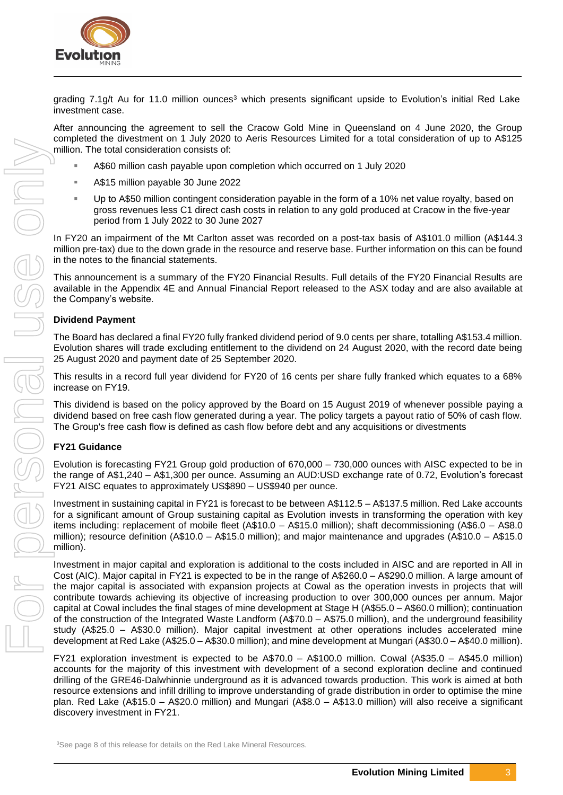

grading 7.1g/t Au for 11.0 million ounces<sup>3</sup> which presents significant upside to Evolution's initial Red Lake investment case.

After announcing the agreement to sell the Cracow Gold Mine in Queensland on 4 June 2020, the Group completed the divestment on 1 July 2020 to Aeris Resources Limited for a total consideration of up to A\$125 million. The total consideration consists of:

- A\$60 million cash payable upon completion which occurred on 1 July 2020
- A\$15 million payable 30 June 2022
- Up to A\$50 million contingent consideration payable in the form of a 10% net value royalty, based on gross revenues less C1 direct cash costs in relation to any gold produced at Cracow in the five-year period from 1 July 2022 to 30 June 2027

In FY20 an impairment of the Mt Carlton asset was recorded on a post-tax basis of A\$101.0 million (A\$144.3 million pre-tax) due to the down grade in the resource and reserve base. Further information on this can be found in the notes to the financial statements.

This announcement is a summary of the FY20 Financial Results. Full details of the FY20 Financial Results are available in the Appendix 4E and Annual Financial Report released to the ASX today and are also available at the Company's website.

#### **Dividend Payment**

The Board has declared a final FY20 fully franked dividend period of 9.0 cents per share, totalling A\$153.4 million. Evolution shares will trade excluding entitlement to the dividend on 24 August 2020, with the record date being 25 August 2020 and payment date of 25 September 2020.

This results in a record full year dividend for FY20 of 16 cents per share fully franked which equates to a 68% increase on FY19.

This dividend is based on the policy approved by the Board on 15 August 2019 of whenever possible paying a dividend based on free cash flow generated during a year. The policy targets a payout ratio of 50% of cash flow. The Group's free cash flow is defined as cash flow before debt and any acquisitions or divestments

#### **FY21 Guidance**

Evolution is forecasting FY21 Group gold production of 670,000 – 730,000 ounces with AISC expected to be in the range of A\$1,240 – A\$1,300 per ounce. Assuming an AUD:USD exchange rate of 0.72, Evolution's forecast FY21 AISC equates to approximately US\$890 – US\$940 per ounce.

Investment in sustaining capital in FY21 is forecast to be between A\$112.5 – A\$137.5 million. Red Lake accounts for a significant amount of Group sustaining capital as Evolution invests in transforming the operation with key items including: replacement of mobile fleet (A\$10.0 – A\$15.0 million); shaft decommissioning (A\$6.0 – A\$8.0 million); resource definition (A\$10.0 – A\$15.0 million); and major maintenance and upgrades (A\$10.0 – A\$15.0 million).

Investment in major capital and exploration is additional to the costs included in AISC and are reported in All in Cost (AIC). Major capital in FY21 is expected to be in the range of A\$260.0 – A\$290.0 million. A large amount of the major capital is associated with expansion projects at Cowal as the operation invests in projects that will contribute towards achieving its objective of increasing production to over 300,000 ounces per annum. Major capital at Cowal includes the final stages of mine development at Stage H (A\$55.0 – A\$60.0 million); continuation of the construction of the Integrated Waste Landform (A\$70.0 – A\$75.0 million), and the underground feasibility study (A\$25.0 – A\$30.0 million). Major capital investment at other operations includes accelerated mine development at Red Lake (A\$25.0 – A\$30.0 million); and mine development at Mungari (A\$30.0 – A\$40.0 million).

FY21 exploration investment is expected to be A\$70.0 – A\$100.0 million. Cowal (A\$35.0 – A\$45.0 million) accounts for the majority of this investment with development of a second exploration decline and continued drilling of the GRE46-Dalwhinnie underground as it is advanced towards production. This work is aimed at both resource extensions and infill drilling to improve understanding of grade distribution in order to optimise the mine plan. Red Lake (A\$15.0 – A\$20.0 million) and Mungari (A\$8.0 – A\$13.0 million) will also receive a significant discovery investment in FY21.

<sup>3</sup>See page 8 of this release for details on the Red Lake Mineral Resources.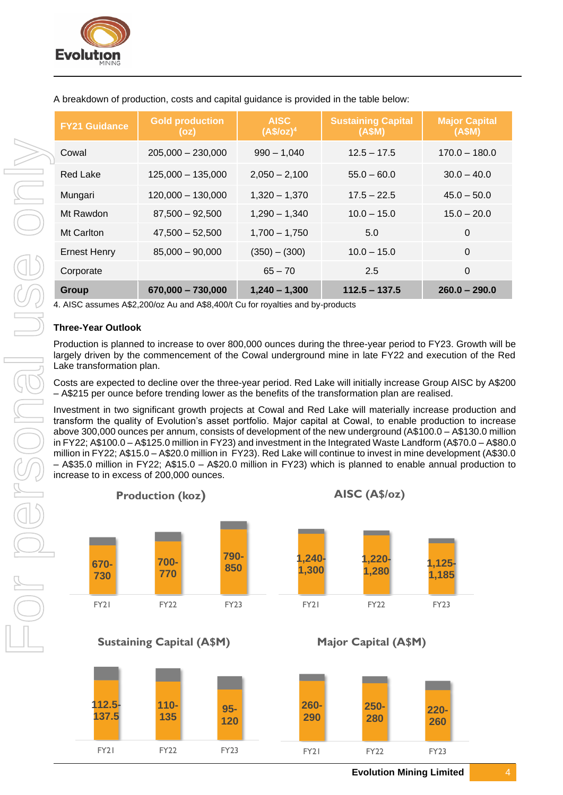

| <b>Gold production</b><br>(oz) | <b>AISC</b><br>(A\$/oz) <sup>4</sup> | <b>Sustaining Capital</b><br>(ASM) | <b>Major Capital</b><br>(ASM)                                                                                                                                                                                                                                                                             |
|--------------------------------|--------------------------------------|------------------------------------|-----------------------------------------------------------------------------------------------------------------------------------------------------------------------------------------------------------------------------------------------------------------------------------------------------------|
| $205,000 - 230,000$            | $990 - 1,040$                        | $12.5 - 17.5$                      | $170.0 - 180.0$                                                                                                                                                                                                                                                                                           |
| $125,000 - 135,000$            | $2,050 - 2,100$                      | $55.0 - 60.0$                      | $30.0 - 40.0$                                                                                                                                                                                                                                                                                             |
| $120,000 - 130,000$            | $1,320 - 1,370$                      | $17.5 - 22.5$                      | $45.0 - 50.0$                                                                                                                                                                                                                                                                                             |
| $87,500 - 92,500$              | $1,290 - 1,340$                      | $10.0 - 15.0$                      | $15.0 - 20.0$                                                                                                                                                                                                                                                                                             |
| $47,500 - 52,500$              | $1,700 - 1,750$                      | 5.0                                | $\Omega$                                                                                                                                                                                                                                                                                                  |
| $85,000 - 90,000$              | $(350) - (300)$                      | $10.0 - 15.0$                      | $\Omega$                                                                                                                                                                                                                                                                                                  |
|                                | $65 - 70$                            | 2.5                                | $\Omega$                                                                                                                                                                                                                                                                                                  |
| 670,000 - 730,000              | $1,240 - 1,300$                      | $112.5 - 137.5$                    | $260.0 - 290.0$                                                                                                                                                                                                                                                                                           |
|                                |                                      |                                    |                                                                                                                                                                                                                                                                                                           |
| <b>Three-Year Outlook</b>      |                                      |                                    |                                                                                                                                                                                                                                                                                                           |
| Lake transformation plan.      |                                      |                                    |                                                                                                                                                                                                                                                                                                           |
|                                |                                      |                                    | 4. AISC assumes A\$2,200/oz Au and A\$8,400/t Cu for royalties and by-products<br>Production is planned to increase to over 800,000 ounces during the three-year period to FY23. Growth will be<br>largely driven by the commencement of the Cowal underground mine in late FY22 and execution of the Red |

A breakdown of production, costs and capital guidance is provided in the table below:

Costs are expected to decline over the three-year period. Red Lake will initially increase Group AISC by A\$200 – A\$215 per ounce before trending lower as the benefits of the transformation plan are realised.

Investment in two significant growth projects at Cowal and Red Lake will materially increase production and transform the quality of Evolution's asset portfolio. Major capital at Cowal, to enable production to increase above 300,000 ounces per annum, consists of development of the new underground (A\$100.0 – A\$130.0 million in FY22; A\$100.0 – A\$125.0 million in FY23) and investment in the Integrated Waste Landform (A\$70.0 – A\$80.0 million in FY22; A\$15.0 – A\$20.0 million in FY23). Red Lake will continue to invest in mine development (A\$30.0 – A\$35.0 million in FY22; A\$15.0 – A\$20.0 million in FY23) which is planned to enable annual production to increase to in excess of 200,000 ounces.

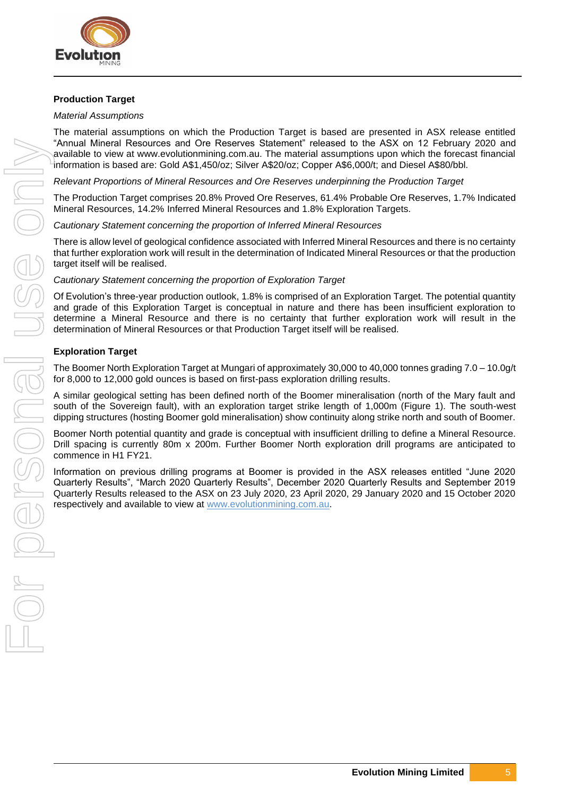

# **Production Target**

#### *Material Assumptions*

The material assumptions on which the Production Target is based are presented in ASX release entitled "Annual Mineral Resources and Ore Reserves Statement" released to the ASX on 12 February 2020 and available to view at www.evolutionmining.com.au. The material assumptions upon which the forecast financial information is based are: Gold A\$1,450/oz; Silver A\$20/oz; Copper A\$6,000/t; and Diesel A\$80/bbl.

*Relevant Proportions of Mineral Resources and Ore Reserves underpinning the Production Target*

The Production Target comprises 20.8% Proved Ore Reserves, 61.4% Probable Ore Reserves, 1.7% Indicated Mineral Resources, 14.2% Inferred Mineral Resources and 1.8% Exploration Targets.

*Cautionary Statement concerning the proportion of Inferred Mineral Resources* 

There is allow level of geological confidence associated with Inferred Mineral Resources and there is no certainty that further exploration work will result in the determination of Indicated Mineral Resources or that the production target itself will be realised.

*Cautionary Statement concerning the proportion of Exploration Target* 

Of Evolution's three-year production outlook, 1.8% is comprised of an Exploration Target. The potential quantity and grade of this Exploration Target is conceptual in nature and there has been insufficient exploration to determine a Mineral Resource and there is no certainty that further exploration work will result in the determination of Mineral Resources or that Production Target itself will be realised.

#### **Exploration Target**

The Boomer North Exploration Target at Mungari of approximately 30,000 to 40,000 tonnes grading 7.0 – 10.0g/t for 8,000 to 12,000 gold ounces is based on first-pass exploration drilling results.

A similar geological setting has been defined north of the Boomer mineralisation (north of the Mary fault and south of the Sovereign fault), with an exploration target strike length of 1,000m (Figure 1). The south-west dipping structures (hosting Boomer gold mineralisation) show continuity along strike north and south of Boomer.

Boomer North potential quantity and grade is conceptual with insufficient drilling to define a Mineral Resource. Drill spacing is currently 80m x 200m. Further Boomer North exploration drill programs are anticipated to commence in H1 FY21.

Information on previous drilling programs at Boomer is provided in the ASX releases entitled "June 2020 Quarterly Results", "March 2020 Quarterly Results", December 2020 Quarterly Results and September 2019 Quarterly Results released to the ASX on 23 July 2020, 23 April 2020, 29 January 2020 and 15 October 2020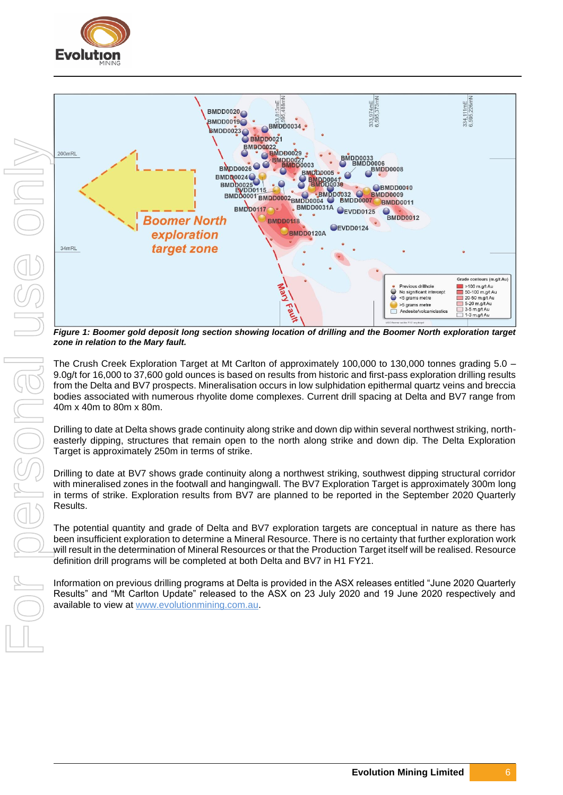



*Figure 1: Boomer gold deposit long section showing location of drilling and the Boomer North exploration target zone in relation to the Mary fault.*

The Crush Creek Exploration Target at Mt Carlton of approximately 100,000 to 130,000 tonnes grading 5.0 – 9.0g/t for 16,000 to 37,600 gold ounces is based on results from historic and first-pass exploration drilling results from the Delta and BV7 prospects. Mineralisation occurs in low sulphidation epithermal quartz veins and breccia bodies associated with numerous rhyolite dome complexes. Current drill spacing at Delta and BV7 range from 40m x 40m to 80m x 80m.

Drilling to date at Delta shows grade continuity along strike and down dip within several northwest striking, northeasterly dipping, structures that remain open to the north along strike and down dip. The Delta Exploration Target is approximately 250m in terms of strike.

Drilling to date at BV7 shows grade continuity along a northwest striking, southwest dipping structural corridor with mineralised zones in the footwall and hangingwall. The BV7 Exploration Target is approximately 300m long in terms of strike. Exploration results from BV7 are planned to be reported in the September 2020 Quarterly Results.

The potential quantity and grade of Delta and BV7 exploration targets are conceptual in nature as there has been insufficient exploration to determine a Mineral Resource. There is no certainty that further exploration work will result in the determination of Mineral Resources or that the Production Target itself will be realised. Resource definition drill programs will be completed at both Delta and BV7 in H1 FY21.

Information on previous drilling programs at Delta is provided in the ASX releases entitled "June 2020 Quarterly Results" and "Mt Carlton Update" released to the ASX on 23 July 2020 and 19 June 2020 respectively and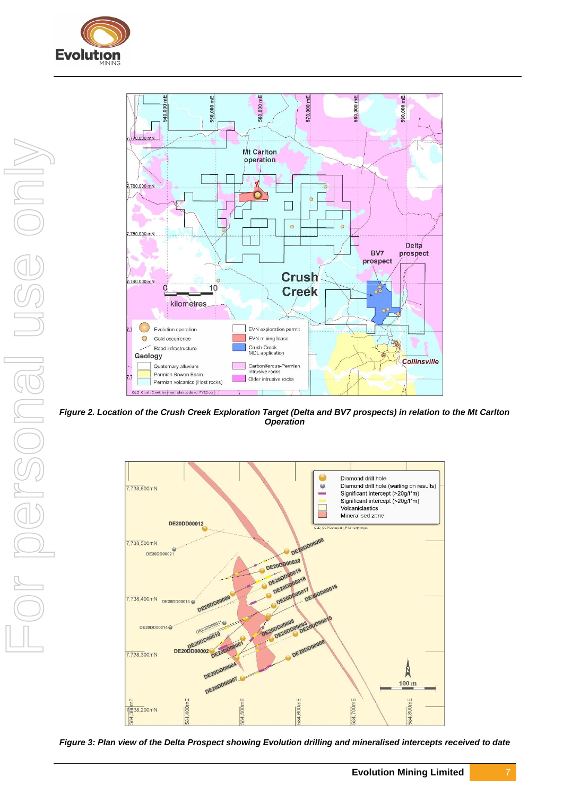



*Figure 2. Location of the Crush Creek Exploration Target (Delta and BV7 prospects) in relation to the Mt Carlton Operation*



*Figure 3: Plan view of the Delta Prospect showing Evolution drilling and mineralised intercepts received to date*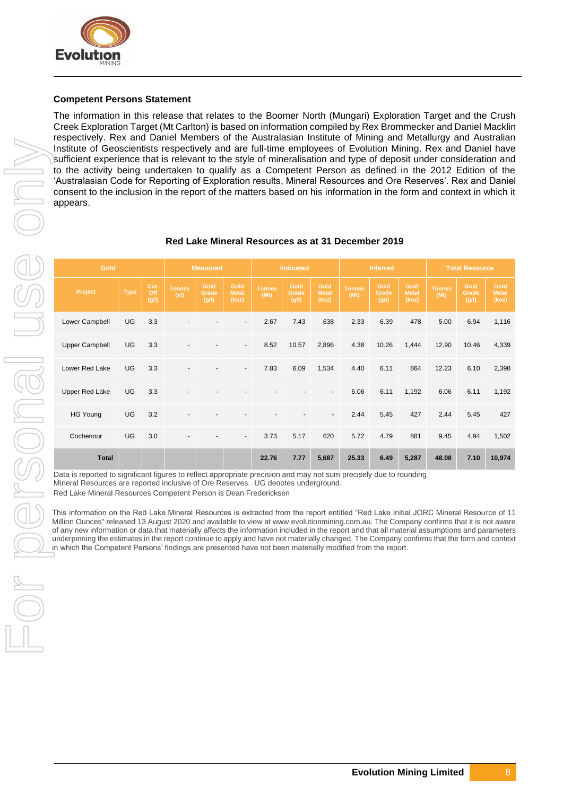

#### **Competent Persons Statement**

The information in this release that relates to the Boomer North (Mungari) Exploration Target and the Crush Creek Exploration Target (Mt Carlton) is based on information compiled by Rex Brommecker and Daniel Macklin respectively. Rex and Daniel Members of the Australasian Institute of Mining and Metallurgy and Australian Institute of Geoscientists respectively and are full-time employees of Evolution Mining. Rex and Daniel have sufficient experience that is relevant to the style of mineralisation and type of deposit under consideration and to the activity being undertaken to qualify as a Competent Person as defined in the 2012 Edition of the 'Australasian Code for Reporting of Exploration results, Mineral Resources and Ore Reserves'. Rex and Daniel consent to the inclusion in the report of the matters based on his information in the form and context in which it appears.

| <b>Gold</b>                                                                                                                                                                                                                                                                                                                                                                                                                                                                                                                                                                                                                                                                                                                                                                                                                                                                                                                                                                  |             |                      | <b>Measured</b>       |                        | <b>Indicated</b>              |                       | <b>Inferred</b>        |                               |                       | <b>Total Resource</b>  |                               |                       |                        |                        |
|------------------------------------------------------------------------------------------------------------------------------------------------------------------------------------------------------------------------------------------------------------------------------------------------------------------------------------------------------------------------------------------------------------------------------------------------------------------------------------------------------------------------------------------------------------------------------------------------------------------------------------------------------------------------------------------------------------------------------------------------------------------------------------------------------------------------------------------------------------------------------------------------------------------------------------------------------------------------------|-------------|----------------------|-----------------------|------------------------|-------------------------------|-----------------------|------------------------|-------------------------------|-----------------------|------------------------|-------------------------------|-----------------------|------------------------|------------------------|
| Project                                                                                                                                                                                                                                                                                                                                                                                                                                                                                                                                                                                                                                                                                                                                                                                                                                                                                                                                                                      | <b>Type</b> | Cut-<br>Off<br>(g/t) | <b>Tonnes</b><br>(kt) | Gold<br>Grade<br>(g/t) | Gold<br><b>Metal</b><br>(koz) | <b>Tonnes</b><br>(Mt) | Gold<br>Grade<br>(g/t) | Gold<br><b>Metal</b><br>(koz) | <b>Tonnes</b><br>(Mt) | Gold<br>Grade<br>(g/t) | Gold<br><b>Metal</b><br>(koz) | <b>Tonnes</b><br>(Mt) | Gold<br>Grade<br>(g/t) | Gold<br>Metal<br>(koz) |
| Lower Campbell                                                                                                                                                                                                                                                                                                                                                                                                                                                                                                                                                                                                                                                                                                                                                                                                                                                                                                                                                               | UG          | 3.3                  |                       |                        |                               | 2.67                  | 7.43                   | 638                           | 2.33                  | 6.39                   | 478                           | 5.00                  | 6.94                   | 1,116                  |
| <b>Upper Campbell</b>                                                                                                                                                                                                                                                                                                                                                                                                                                                                                                                                                                                                                                                                                                                                                                                                                                                                                                                                                        | UG          | 3.3                  |                       |                        |                               | 8.52                  | 10.57                  | 2,896                         | 4.38                  | 10.26                  | 1,444                         | 12.90                 | 10.46                  | 4,339                  |
| Lower Red Lake                                                                                                                                                                                                                                                                                                                                                                                                                                                                                                                                                                                                                                                                                                                                                                                                                                                                                                                                                               | UG          | 3.3                  |                       |                        |                               | 7.83                  | 6.09                   | 1,534                         | 4.40                  | 6.11                   | 864                           | 12.23                 | 6.10                   | 2,398                  |
| <b>Upper Red Lake</b>                                                                                                                                                                                                                                                                                                                                                                                                                                                                                                                                                                                                                                                                                                                                                                                                                                                                                                                                                        | UG          | 3.3                  |                       |                        |                               |                       |                        |                               | 6.06                  | 6.11                   | 1,192                         | 6.06                  | 6.11                   | 1,192                  |
| <b>HG Young</b>                                                                                                                                                                                                                                                                                                                                                                                                                                                                                                                                                                                                                                                                                                                                                                                                                                                                                                                                                              | UG          | 3.2                  |                       |                        |                               |                       |                        |                               | 2.44                  | 5.45                   | 427                           | 2.44                  | 5.45                   | 427                    |
| Cochenour                                                                                                                                                                                                                                                                                                                                                                                                                                                                                                                                                                                                                                                                                                                                                                                                                                                                                                                                                                    | UG          | 3.0                  |                       |                        |                               | 3.73                  | 5.17                   | 620                           | 5.72                  | 4.79                   | 881                           | 9.45                  | 4.94                   | 1,502                  |
| <b>Total</b>                                                                                                                                                                                                                                                                                                                                                                                                                                                                                                                                                                                                                                                                                                                                                                                                                                                                                                                                                                 |             |                      |                       |                        |                               | 22.76                 | 7.77                   | 5,687                         | 25.33                 | 6.49                   | 5,287                         | 48.08                 | 7.10                   | 10,974                 |
| Data is reported to significant figures to reflect appropriate precision and may not sum precisely due to rounding<br>Mineral Resources are reported inclusive of Ore Reserves. UG denotes underground.<br>Red Lake Mineral Resources Competent Person is Dean Fredericksen<br>This information on the Red Lake Mineral Resources is extracted from the report entitled "Red Lake Initial JORC Mineral Resource of 11<br>Million Ounces" released 13 August 2020 and available to view at www.evolutionmining.com.au. The Company confirms that it is not aware<br>of any new information or data that materially affects the information included in the report and that all material assumptions and parameters<br>underpinning the estimates in the report continue to apply and have not materially changed. The Company confirms that the form and context<br>in which the Competent Persons' findings are presented have not been materially modified from the report. |             |                      |                       |                        |                               |                       |                        |                               |                       |                        |                               |                       |                        |                        |

#### **Red Lake Mineral Resources as at 31 December 2019**